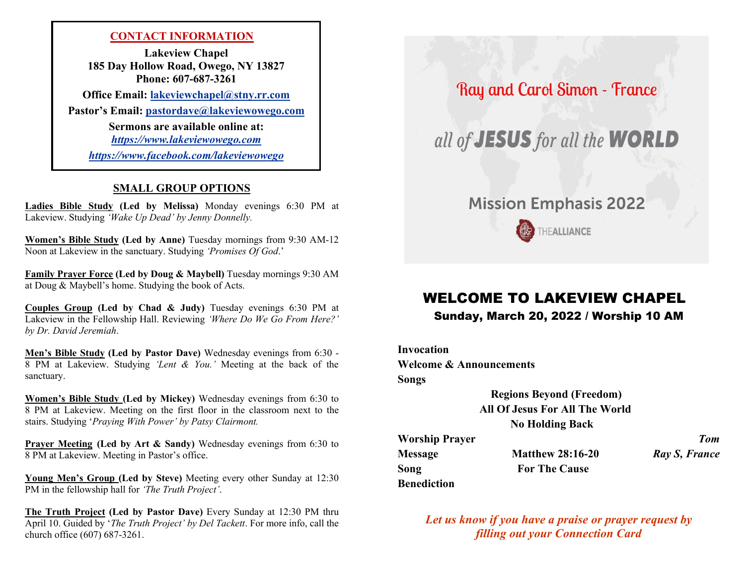## **CONTACT INFORMATION**

**Lakeview Chapel 185 Day Hollow Road, Owego, NY 13827 Phone: 607-687-3261**

**Office Email: [lakeviewchapel@stny.rr.com](Previous%20Bulletins/Previous%20Bulletins/lakeviewchapel@stny.rr.com)**

**Pastor's Email: [pastordave@lakeviewowego.com](mailto:pastordave@lakeviewowego.com)**

**Sermons are available online at:** *https:/[/www.lakeviewowego.com](http://www.lakeviewowego.com/)*

*<https://www.facebook.com/lakeviewowego>*

## **SMALL GROUP OPTIONS**

**Ladies Bible Study (Led by Melissa)** Monday evenings 6:30 PM at Lakeview. Studying *'Wake Up Dead' by Jenny Donnelly.*

**Women's Bible Study (Led by Anne)** Tuesday mornings from 9:30 AM-12 Noon at Lakeview in the sanctuary. Studying *'Promises Of God*.'

**Family Prayer Force (Led by Doug & Maybell)** Tuesday mornings 9:30 AM at Doug & Maybell's home. Studying the book of Acts.

**Couples Group (Led by Chad & Judy)** Tuesday evenings 6:30 PM at Lakeview in the Fellowship Hall. Reviewing *'Where Do We Go From Here?' by Dr. David Jeremiah*.

**Men's Bible Study (Led by Pastor Dave)** Wednesday evenings from 6:30 - 8 PM at Lakeview. Studying *'Lent & You.'* Meeting at the back of the sanctuary.

**Women's Bible Study (Led by Mickey)** Wednesday evenings from 6:30 to 8 PM at Lakeview. Meeting on the first floor in the classroom next to the stairs. Studying '*Praying With Power' by Patsy Clairmont.*

**Prayer Meeting (Led by Art & Sandy)** Wednesday evenings from 6:30 to 8 PM at Lakeview. Meeting in Pastor's office.

**Young Men's Group (Led by Steve)** Meeting every other Sunday at 12:30 PM in the fellowship hall for *'The Truth Project'*.

**The Truth Project (Led by Pastor Dave)** Every Sunday at 12:30 PM thru April 10. Guided by '*The Truth Project' by Del Tackett*. For more info, call the church office (607) 687-3261.

Ray and Carol Simon - France

all of **JESUS** for all the **WORLD** 

# **Mission Emphasis 2022**

THEALLIANCE

# WELCOME TO LAKEVIEW CHAPEL

## Sunday, March 20, 2022 / Worship 10 AM

**Invocation Welcome & Announcements Songs**

> **Regions Beyond (Freedom) All Of Jesus For All The World No Holding Back**

**Worship Prayer** *Tom* **Message Matthew 28:16-20** *Ray S, France* **Song For The Cause Benediction**

*Let us know if you have a praise or prayer request by filling out your Connection Card*